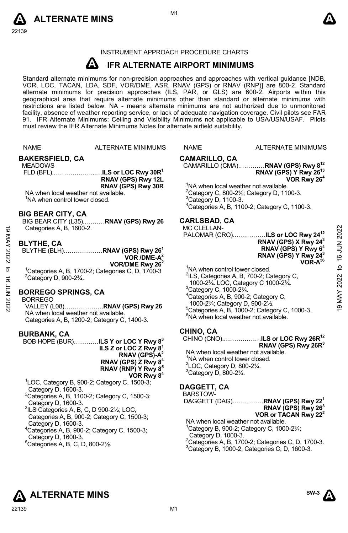



#### INSTRUMENT APPROACH PROCEDURE CHARTS

#### **A IFR ALTERNATE AIRPORT MINIMUMS**

Standard alternate minimums for non-precision approaches and approaches with vertical guidance [NDB,<br>VOR, LOC, TACAN, LDA, SDF, VOR/DME, ASR, RNAV (GPS) or RNAV (RNP)] are 800-2. Standard<br>alternate minimums for precision a geographical area that require alternate minimums other than standard or alternate minimums with restrictions are listed below. NA - means alternate minimums are not authorized due to unmonitored facility, absence of weather reporting service, or lack of adequate navigation coverage. Civil pilots see FAR 91. IFR Alternate Minimums: Ceiling and Visibility Minimums not applicable to USA/USN/USAF. Pilots must review the IFR Alternate Minimums Notes for alternate airfield suitability.

|                                           | <b>NAME</b>                                                                                                                                                                                                                                                                          | ALTERNATE MINIMUMS                                                                                                                                                                                                                                                                                                                                                            | <b>NAME</b>                                                                                                                                                                                                                                      | <b>ALTERNATE MINIMUMS</b>                                                                                                                                                                                                                                                                                                                                                                                                                     |                                           |
|-------------------------------------------|--------------------------------------------------------------------------------------------------------------------------------------------------------------------------------------------------------------------------------------------------------------------------------------|-------------------------------------------------------------------------------------------------------------------------------------------------------------------------------------------------------------------------------------------------------------------------------------------------------------------------------------------------------------------------------|--------------------------------------------------------------------------------------------------------------------------------------------------------------------------------------------------------------------------------------------------|-----------------------------------------------------------------------------------------------------------------------------------------------------------------------------------------------------------------------------------------------------------------------------------------------------------------------------------------------------------------------------------------------------------------------------------------------|-------------------------------------------|
|                                           | <b>BAKERSFIELD, CA</b><br><b>MEADOWS</b><br>NA when local weather not available.<br><sup>1</sup> NA when control tower closed.                                                                                                                                                       | RNAV (GPS) Rwy 12L<br>RNAV (GPS) Rwy 30R                                                                                                                                                                                                                                                                                                                                      | CAMARILLO, CA<br>$3$ Category D, 1100-3.                                                                                                                                                                                                         | CAMARILLO (CMA)RNAV (GPS) Rwy 8 <sup>12</sup><br>RNAV (GPS) Y Rwy 26 <sup>13</sup><br>VOR Rwy 26 <sup>4</sup><br><sup>1</sup> NA when local weather not available.<br><sup>2</sup> Category C, 800-2 $\frac{1}{2}$ ; Category D, 1100-3.<br><sup>4</sup> Categories A, B, 1100-2; Category C, 1100-3.                                                                                                                                         |                                           |
| <u>ය</u><br>MAY 2022<br>ಕ<br>ಕ<br>2022 NO | <b>BIG BEAR CITY, CA</b><br>Categories A, B, 1600-2.<br><b>BLYTHE, CA</b><br><sup>2</sup> Category D, 900-2 <sup>3</sup> / <sub>4</sub> .<br><b>BORREGO SPRINGS, CA</b><br><b>BORREGO</b><br>NA when local weather not available.                                                    | BIG BEAR CITY (L35)RNAV (GPS) Rwy 26<br>BLYTHE (BLH)RNAV (GPS) Rwy 26 <sup>1</sup><br>VOR / DME- $A^2$<br>VOR/DME Rwy $262$<br><sup>1</sup> Categories A, B, 1700-2; Categories C, D, 1700-3<br>VALLEY (L08)RNAV (GPS) Rwy 26<br>Categories A, B, 1200-2; Category C, 1400-3.                                                                                                 | <b>CARLSBAD, CA</b><br><b>MC CLELLAN-</b><br><sup>1</sup> NA when control tower closed.<br><sup>3</sup> Category C, 1000-2 <sup>3</sup> / <sub>4</sub> .<br>1000-2 <sup>3</sup> / <sub>4</sub> ; Category D, 900-2 <sup>1</sup> / <sub>2</sub> . | PALOMAR (CRQ)ILS or LOC Rwy 24 <sup>12</sup><br>RNAV (GPS) X Rwy 24 <sup>3</sup><br>RNAV (GPS) Y Rwy 6 <sup>4</sup><br>RNAV (GPS) Y Rwy 24 <sup>3</sup><br>VOR-A <sup>56</sup><br><sup>2</sup> ILS, Categories A, B, 700-2; Category C,<br>1000-23/4. LOC, Category C 1000-23/4.<br><sup>4</sup> Categories A, B, 900-2; Category C,<br>$5$ Categories A, B, 1000-2; Category C, 1000-3.<br><sup>6</sup> NA when local weather not available. | 2022<br><b>NUL 91 ot</b><br>2022<br>9 MAY |
|                                           | <b>BURBANK, CA</b><br>Category D, 1600-3.<br>Category D, 1600-3.<br>$3$ ILS Categories A, B, C, D 900-2 $\frac{1}{2}$ ; LOC,<br>Category D, 1600-3.<br>$4$ Categories A, B, 900-2; Category C, 1500-3;<br>Category D, 1600-3.<br>${}^5$ Categories A, B, C, D, 800-2 $\frac{1}{2}$ . | BOB HOPE (BUR) <b>ILS Y or LOC Y Rwy 8</b> <sup>3</sup><br>ILS Z or LOC Z Rwy $81$<br>RNAV (GPS)-A <sup>2</sup><br>RNAV (GPS) Z Rwy $84$<br>RNAV (RNP) Y Rwy 8 <sup>5</sup><br>VOR Rwy 8 <sup>4</sup><br><sup>1</sup> LOC, Category B, 900-2; Category C, 1500-3;<br><sup>2</sup> Categories A, B, 1100-2; Category C, 1500-3;<br>Categories A, B, 900-2; Category C, 1500-3; | CHINO, CA<br>'NA when control tower closed.<br><sup>2</sup> LOC, Category D, 800-21/4.<br>$3$ Category D, 800-2 $\frac{1}{4}$ .<br>DAGGETT, CA<br><b>BARSTOW-</b><br>Category D, 1000-3.                                                         | CHINO (CNO)ILS or LOC Rwy 26R <sup>12</sup><br>RNAV (GPS) Rwy 26R <sup>3</sup><br>NA when local weather not available.<br>DAGGETT (DAG)RNAV (GPS) Rwy 22 <sup>1</sup><br>RNAV (GPS) Rwy 26 <sup>3</sup><br>VOR or TACAN Rwy 22 <sup>2</sup><br>NA when local weather not available.<br>'Category B, 900-2; Category C, 1000-23/4;<br><sup>2</sup> Categories A, B, 1700-2; Categories C, D, 1700-3.                                           |                                           |





<sup>2</sup>Categories A, B, 1700-2; Categories C, D, 1700-3.<br><sup>3</sup>Category B, 1000-2; Categories C, D, 1600-3.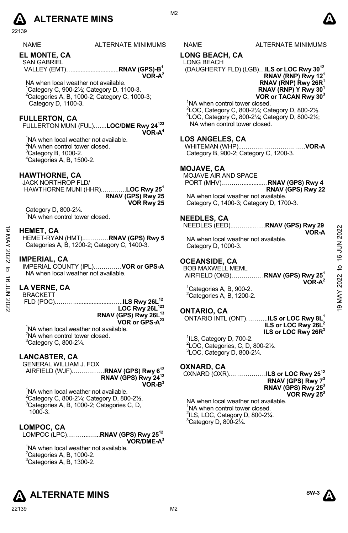# **A** ALTERNATE MINS  $\qquad \qquad \blacksquare$

22139

ALTERNATE MINIMUMS NAME ALTERNATE MINIMUMS

**EL MONTE, CA** 

SAN GABRIEL VALLEY (EMT)…............................**RNAV (GPS)-B1** 

NA when local weather not available. 1 Category C, 900-2½; Category D, 1100-3.  $2$ Categories A, B, 1000-2; Category C, 1000-3; Category D, 1100-3.

#### **FULLERTON, CA**

FULLERTON MUNI (FUL).…...**LOC/DME Rwy 24123 VOR-A4**

<sup>1</sup>NA when local weather not available.  $2$ NA when control tower closed.  ${}^{3}$ Category B, 1000-2. 4 Categories A, B, 1500-2.

#### **HAWTHORNE, CA**

JACK NORTHROP FLD/ HAWTHORNE MUNI (HHR).…..…….**LOC Rwy 251 RNAV (GPS) Rwy 25 VOR Rwy 25** 

Category D, 800-2¼. <sup>1</sup>NA when control tower closed.

#### **HEMET, CA**

HEMET-RYAN (HMT).…………**RNAV (GPS) Rwy 5**  Categories A, B, 1200-2; Category C, 1400-3. HEMET, CA<br>
HEMET-RYAN (HMT)..............RNAV (GPS) Rwy 5<br>
Categories A, B, 1200-2; Category C, 1400-3.<br>
MPERIAL, CA<br>
MPERIAL, CA<br>
MAY When local weather not available.<br>
MAY Neumann MAY 2022<br>
MAY A When local weather not

#### **IMPERIAL, CA**

IMPERIAL COUNTY (IPL).……….…**VOR or GPS-A**  NA when local weather not available.

#### **LA VERNE, CA**

BRACKETT

 FLD (POC).……….......................…..**ILS Rwy 26L12 LOC Rwy 26L123 RNAV (GPS) Rwy 26L13 VOR or GPS-A23**

<sup>1</sup>NA when local weather not available.  $2$ NA when control tower closed.  ${}^{3}$ Category C, 800-2 $\frac{1}{4}$ .

#### **LANCASTER, CA**

GENERAL WILLIAM J. FOX AIRFIELD (WJF).……………**RNAV (GPS) Rwy 612**

**RNAV (GPS) Rwy 2412 VOR-B3**

<sup>1</sup>NA when local weather not available.  $2^2$ Category C, 800-21/<sub>4</sub>; Category D, 800-21/2. 3 Categories A, B, 1000-2; Categories C, D, 1000-3.

### **LOMPOC, CA**

LOMPOC (LPC)………..…...**RNAV (GPS) Rwy 2512 VOR/DME-A3**

<sup>1</sup>NA when local weather not available.  $2^2$ Categories A, B, 1000-2.  ${}^{3}$ Categories A, B, 1300-2.



### **LONG BEACH, CA**

LONG BEACH (DAUGHERTY FLD) (LGB)…**ILS or LOC Rwy 3012**

**RNAV (RNP) Rwy 121 RNAV (RNP) Rwy 26R1 RNAV (RNP) Y Rwy 301 VOR or TACAN Rwy 303**

<sup>1</sup>NA when control tower closed.

2 LOC, Category C, 800-2¼; Category D, 800-2½. 3 LOC, Category C, 800-2¼; Category D, 800-2½; NA when control tower closed.

Category B, 900-2; Category C, 1200-3.

MOJAVE AIR AND SPACE

PORT (MHV).………............…**RNAV (GPS) Rwy 4** 

NA when local weather not available. Category C, 1400-3; Category D, 1700-3.

#### **NEEDLES, CA**

NEEDLES (EED)...……...……**RNAV (GPS) Rwy 29** 

NA when local weather not available. Category D, 1000-3.

BOB MAXWELL MEML AIRFIELD (OKB)…….………**RNAV (GPS) Rwy 251 VOR-A2** 

<sup>1</sup>Categories A, B, 900-2.  ${}^{2}$ Categories A, B, 1200-2.

#### **ONTARIO, CA**

ONTARIO INTL (ONT)………..**ILS or LOC Rwy 8L1 ILS or LOC Rwy 26L2 ILS or LOC Rwy 26R3**

 $1$ ILS, Category D, 700-2. 2 LOC, Categories, C, D, 800-2½. 3 LOC, Category D, 800-2¼.

#### **OXNARD, CA**

OXNARD (OXR)………………**ILS or LOC Rwy 2512 RNAV (GPS) Rwy 73 RNAV (GPS) Rwy 253 VOR Rwy 253** 

NA when local weather not available. 1 NA when control tower closed.  $2$ ILS, LOC, Category D, 800-2 $\frac{1}{4}$ .  $3$ Category D, 800-2 $\frac{1}{4}$ .

#### **LOS ANGELES, CA**

WHITEMAN (WHP)...…………………………**VOR-A** 

#### **MOJAVE, CA**

**RNAV (GPS) Rwy 22** 



**VOR-A** 

## **OCEANSIDE, CA**







**VOR-A2**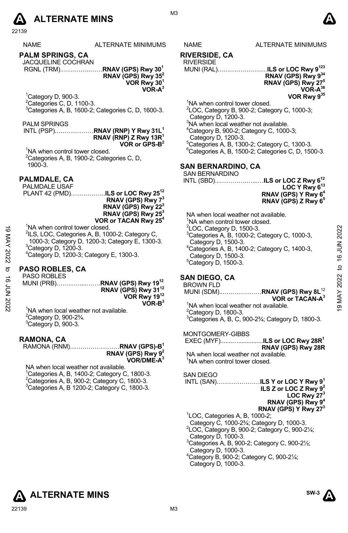

|                    | 22139                                                        |                                                                                |                                                     |                                                                      |             |
|--------------------|--------------------------------------------------------------|--------------------------------------------------------------------------------|-----------------------------------------------------|----------------------------------------------------------------------|-------------|
|                    | <b>NAME</b>                                                  | <b>ALTERNATE MINIMUMS</b>                                                      | <b>NAME</b>                                         | ALTERNATE MINIMUMS                                                   |             |
|                    | <b>PALM SPRINGS, CA</b>                                      |                                                                                | <b>RIVERSIDE, CA</b>                                |                                                                      |             |
|                    | JACQUELINE COCHRAN                                           | RGNL (TRM)RNAV (GPS) Rwy 30 <sup>1</sup>                                       | <b>RIVERSIDE</b>                                    | MUNI (RAL)ILS or LOC Rwy 9 <sup>123</sup>                            |             |
|                    |                                                              | RNAV (GPS) Rwy 35 <sup>2</sup>                                                 |                                                     | RNAV (GPS) Rwy 934                                                   |             |
|                    |                                                              | VOR Rwy 30 <sup>1</sup>                                                        |                                                     | RNAV (GPS) Rwy 27 <sup>5</sup>                                       |             |
|                    |                                                              | $VOR-A3$                                                                       |                                                     | $VOR-A^{36}$                                                         |             |
|                    | $^1$ Category D, 900-3.                                      |                                                                                |                                                     | VOR Rwy 935                                                          |             |
|                    | <sup>2</sup> Categories C, D, 1100-3.                        |                                                                                | <sup>1</sup> NA when control tower closed.          |                                                                      |             |
|                    |                                                              | <sup>3</sup> Categories A, B, 1600-2; Categories C, D, 1600-3.                 |                                                     | <sup>2</sup> LOC, Category B, 900-2; Category C, 1000-3;             |             |
|                    |                                                              |                                                                                | Category D, 1200-3.                                 |                                                                      |             |
|                    | PALM SPRINGS                                                 |                                                                                | <sup>3</sup> NA when local weather not available.   |                                                                      |             |
|                    |                                                              | INTL (PSP)RNAV (RNP) Y Rwy 31L <sup>1</sup>                                    | <sup>4</sup> Category B, 900-2; Category C, 1000-3; |                                                                      |             |
|                    |                                                              | RNAV (RNP) Z Rwy 13R <sup>1</sup><br>VOR or $CPS-B^2$                          | Category D, 1200-3.                                 | <sup>5</sup> Categories A, B, 1300-2; Category C, 1300-3.            |             |
|                    | <sup>1</sup> NA when control tower closed.                   |                                                                                |                                                     | <sup>6</sup> Categories A, B, 1500-2; Categories C, D, 1500-3.       |             |
|                    | <sup>2</sup> Categories A, B, 1900-2; Categories C, D,       |                                                                                |                                                     |                                                                      |             |
|                    | 1900-3.                                                      |                                                                                | <b>SAN BERNARDINO, CA</b>                           |                                                                      |             |
|                    |                                                              |                                                                                | <b>SAN BERNARDINO</b>                               |                                                                      |             |
|                    | PALMDALE, CA                                                 |                                                                                |                                                     | INTL (SBD)ILS or LOC Z Rwy 6 <sup>12</sup>                           |             |
|                    | PALMDALE USAF                                                |                                                                                |                                                     | LOC Y Rwy 6 <sup>13</sup>                                            |             |
|                    |                                                              | PLANT 42 (PMD)ILS or LOC Rwy 25 <sup>12</sup><br>RNAV (GPS) Rwy 7 <sup>3</sup> |                                                     | RNAV (GPS) Y Rwy 6 <sup>4</sup>                                      |             |
|                    |                                                              | RNAV (GPS) Rwy 22 <sup>3</sup>                                                 |                                                     | RNAV (GPS) Z Rwy 6 <sup>5</sup>                                      |             |
|                    |                                                              | RNAV (GPS) Rwy 25 <sup>3</sup>                                                 | NA when local weather not available.                |                                                                      |             |
|                    |                                                              | VOR or TACAN Rwy 25 <sup>4</sup>                                               | <sup>1</sup> NA when control tower closed.          |                                                                      |             |
|                    | <sup>1</sup> NA when control tower closed.                   |                                                                                | <sup>2</sup> LOC, Category D, 1500-3.               |                                                                      |             |
|                    |                                                              | <sup>2</sup> ILS, LOC, Categories A, B, 1000-2; Category C,                    |                                                     | <sup>3</sup> Categories A, B, 1000-2; Category C, 1000-3,            | 2022        |
|                    |                                                              | 1000-3; Category D, 1200-3; Category E, 1300-3.                                | Category D, 1500-3.                                 |                                                                      |             |
|                    | $3$ Category D, 1200-3.                                      |                                                                                |                                                     | <sup>4</sup> Categories A, B, 1400-2; Category C, 1400-3,            |             |
| <b>19 MAY 2022</b> | <sup>4</sup> Category D, 1200-3; Category E, 1300-3.         |                                                                                | Category D, 1500-3.                                 |                                                                      | 16 JUN      |
| ಠ                  | <b>PASO ROBLES, CA</b>                                       |                                                                                | $5$ Category D, 1500-3.                             |                                                                      |             |
|                    | <b>PASO ROBLES</b>                                           |                                                                                | <b>SAN DIEGO, CA</b>                                |                                                                      | MAY 2022 to |
|                    |                                                              | MUNI (PRB)RNAV (GPS) Rwy 19 <sup>12</sup>                                      | <b>BROWN FLD</b>                                    |                                                                      |             |
|                    |                                                              | RNAV (GPS) Rwy 31 <sup>12</sup>                                                |                                                     | MUNI (SDM)RNAV (GPS) Rwy 8L <sup>12</sup>                            |             |
| <b>16 JUN 2022</b> |                                                              | VOR Rwy 1912                                                                   |                                                     | VOR or TACAN-A <sup>3</sup>                                          |             |
|                    | <sup>1</sup> NA when local weather not available.            | $VOR-B3$                                                                       | <sup>1</sup> NA when local weather not available.   |                                                                      | σ,          |
|                    | <sup>2</sup> Category D, 900-2 <sup>3</sup> / <sub>4</sub> . |                                                                                | <sup>2</sup> Category D, 1800-3.                    |                                                                      |             |
|                    | <sup>3</sup> Category D, 900-3.                              |                                                                                |                                                     | $3$ Categories A, B, C, 900-2 $\frac{3}{4}$ ; Category D, 1800-3.    |             |
|                    |                                                              |                                                                                | MONTGOMERY-GIBBS                                    |                                                                      |             |
|                    | RAMONA, CA                                                   |                                                                                |                                                     |                                                                      |             |
|                    |                                                              | RAMONA (RNM)RNAV (GPS)-B <sup>1</sup>                                          |                                                     | RNAV (GPS) Rwy 28R                                                   |             |
|                    |                                                              | RNAV (GPS) Rwy $92$                                                            | NA when local weather not available.                |                                                                      |             |
|                    |                                                              | $VOR/DME-A3$                                                                   | <sup>1</sup> NA when control tower closed.          |                                                                      |             |
|                    | NA when local weather not available.                         | <sup>1</sup> Categories A, B, 1400-2; Category C, 1800-3.                      | <b>SAN DIEGO</b>                                    |                                                                      |             |
|                    | <sup>2</sup> Categories A, B, 900-2; Category C, 1800-3.     |                                                                                |                                                     | INTL (SAN)ILS Y or LOC Y Rwy 9 <sup>1</sup>                          |             |
|                    |                                                              | <sup>3</sup> Categories A, B 1200-2; Category C, 1800-3.                       |                                                     | ILS Z or LOC Z Rwy $9^2$                                             |             |
|                    |                                                              |                                                                                |                                                     | LOC Rwy $273$                                                        |             |
|                    |                                                              |                                                                                |                                                     | RNAV (GPS) Rwy 9 <sup>4</sup>                                        |             |
|                    |                                                              |                                                                                |                                                     | RNAV (GPS) Y Rwy 27 <sup>3</sup>                                     |             |
|                    |                                                              |                                                                                | <sup>1</sup> LOC, Categories A, B, 1000-2;          | Category C, 1000-2 <sup>3</sup> / <sub>4</sub> ; Category D, 1000-3. |             |
|                    |                                                              |                                                                                |                                                     | <sup>2</sup> LOC, Category B, 900-2; Category C, 900-21/4;           |             |
|                    |                                                              |                                                                                | Category D, 1000-3.                                 |                                                                      |             |
|                    |                                                              |                                                                                |                                                     | $30$ steading $\Lambda$ R 000 2: Category C 000 21/:                 |             |

 $3$ Categories A, B, 900-2; Category C, 900-2 $\frac{1}{2}$ ; Category D, 1000-3.

4 Category B, 900-2; Category C, 900-2¼; Category D, 1000-3.





#### **RIVERSIDE, CA**

#### RIVERSIDE

M3

#### **SAN BERNARDINO, CA**

#### **SAN DIEGO, CA**

**ALTERNATE MINS**  $\sum_{n=1}^{\text{SW3}}$ 

**SW-3**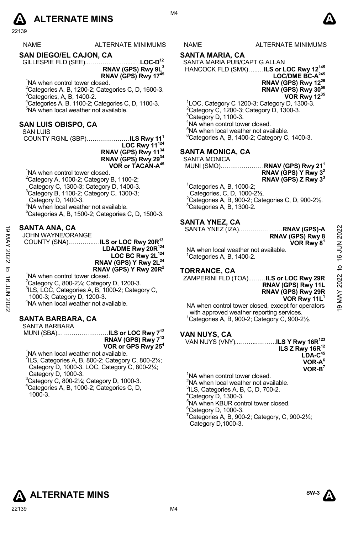## **A** ALTERNATE MINS  $\bullet$

22139

| ALTERNATE MINIMUMS |
|--------------------|
|                    |

**SAN DIEGO/EL CAJON, CA** 

GILLESPIE FLD (SEE)...………………....…**LOC-D12 RNAV (GPS) Rwy 9L3 RNAV (GPS) Rwy 1745** 

<sup>1</sup>NA when control tower closed.

 $^{2}$ Categories A, B, 1200-2; Categories C, D, 1600-3.  ${}^{3}$ Categories, A, B, 1400-2.

4 Categories A, B, 1100-2; Categories C, D, 1100-3. 5 NA when local weather not available.

#### **SAN LUIS OBISPO, CA**

SAN LUIS

COUNTY RGNL (SBP)…………………**ILS Rwy 111 LOC Rwy 11124 RNAV (GPS) Rwy 1134** 

**RNAV (GPS) Rwy 2934 VOR or TACAN-A45**

<sup>1</sup>NA when control tower closed. <sup>2</sup>Category A, 1000-2; Category B, 1100-2; Category C, 1300-3; Category D, 1400-3. <sup>3</sup>Category B, 1100-2; Category C, 1300-3; Category D, 1400-3. 4 NA when local weather not available.  $5$ Categories A, B, 1500-2; Categories C, D, 1500-3.

#### **SANTA ANA, CA**

JOHN WAYNE/ORANGE

 COUNTY (SNA).………...…**ILS or LOC Rwy 20R13 LDA/DME Rwy 20R124**  LOC BC Rwy 2L<sup>124</sup> **RNAV (GPS) Y Rwy 2L<sup>24</sup> RNAV (GPS) Y Rwy 20R2**  19 MAY 2022 to 16 JUN 202219 MAY 2022 to 16 JUN 2022

<sup>1</sup>NA when control tower closed.

 $^{2}$ Category C, 800-21⁄4; Category D, 1200-3.

<sup>3</sup>ILS, LOC, Categories A, B, 1000-2; Category C,

1000-3; Category D, 1200-3.

4 NA when local weather not available.

#### **SANTA BARBARA, CA**

SANTA BARBARA MUNI (SBA).……………………**ILS or LOC Rwy 712**

**RNAV (GPS) Rwy 713 VOR or GPS Rwy 254** 

<sup>1</sup>NA when local weather not available.

 $2$ ILS, Categories A, B, 800-2; Category C, 800-2 $\frac{1}{4}$ ; Category D, 1000-3. LOC, Category C, 800-2¼; Category D, 1000-3.

3 Category C, 800-2¼; Category D, 1000-3. 4 Categories A, B, 1000-2; Categories C, D, 1000-3.

S NAME ALTERNATE MINIMUMS

#### **SANTA MARIA, CA**

SANTA MARIA PUB/CAPT G ALLAN HANCOCK FLD (SMX)…..…**ILS or LOC Rwy 12145** 

LOC/DME BC-A<sup>245</sup> **RNAV (GPS) Rwy 1225 RNAV (GPS) Rwy 3056 VOR Rwy 1235** 

 LOC, Category C 1200-3; Category D, 1300-3. <sup>2</sup>Category C, 1200-3; Category D, 1300-3.<br><sup>3</sup>Category D, 1100-3. NA when control tower closed. NA when local weather not available. Categories A, B, 1400-2; Category C, 1400-3.

#### **SANTA MONICA, CA**

SANTA MONICA

- MUNI (SMO)…………………**RNAV (GPS) Rwy 211 RNAV (GPS) Y Rwy 32 RNAV (GPS) Z Rwy 33**
- ${}^{1}$ Categories A, B, 1000-2;
- Categories, C, D, 1000-2½.  $^{2}$ Categories A, B, 900-2; Categories C, D, 900-2½.  ${}^{3}$ Categories A, B, 1300-2.

#### **SANTA YNEZ, CA**

SANTA YNEZ (IZA).….…………..…**RNAV (GPS)-A** 

**RNAV (GPS) Rwy 8 VOR Rwy 81** 

**RNAV (GPS) Rwy 11L RNAV (GPS) Rwy 29R**

NA when local weather not available.  $1$ <sup>1</sup>Categories A, B, 1400-2.

#### **TORRANCE, CA**

ZAMPERINI FLD (TOA)..….…**ILS or LOC Rwy 29R**

**VOR Rwy 11L1** NA when control tower closed, except for operators with approved weather reporting services. 1 Categories A, B, 900-2; Category C, 900-2½.

#### **VAN NUYS, CA**

VAN NUYS (VNY)...……..……….**ILS Y Rwy 16R123 ILS Z Rwy 16R12 LDA-C45 VOR-A6 VOR-B7** 

<sup>1</sup>NA when control tower closed. <sup>2</sup>NA when local weather not available.  $^{3}$ ILS, Categories A, B, C, D, 700-2.  $4$ Category D, 1300-3. 5 NA when KBUR control tower closed. <sup>6</sup>Category D, 1000-3.  $7$ Categories A, B, 900-2; Category, C, 900-2 $\frac{1}{2}$ ; Category D,1000-3.